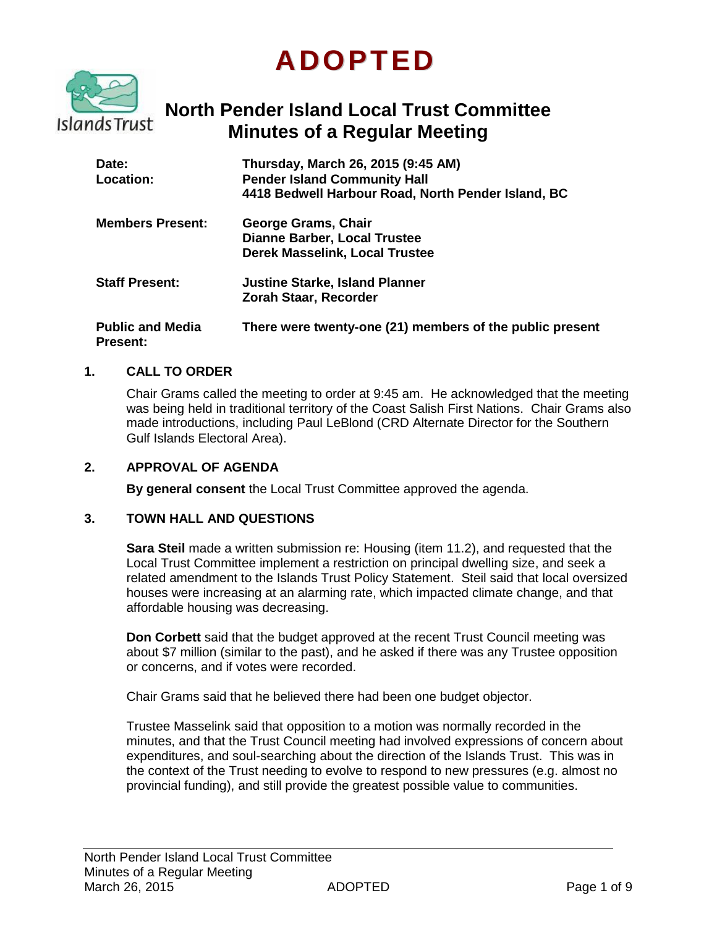# **ADOPTED**



# **North Pender Island Local Trust Committee Minutes of a Regular Meeting**

| Date:<br>Location:                         | Thursday, March 26, 2015 (9:45 AM)<br><b>Pender Island Community Hall</b><br>4418 Bedwell Harbour Road, North Pender Island, BC |
|--------------------------------------------|---------------------------------------------------------------------------------------------------------------------------------|
| <b>Members Present:</b>                    | George Grams, Chair<br><b>Dianne Barber, Local Trustee</b><br><b>Derek Masselink, Local Trustee</b>                             |
| <b>Staff Present:</b>                      | <b>Justine Starke, Island Planner</b><br>Zorah Staar, Recorder                                                                  |
| <b>Public and Media</b><br><b>Present:</b> | There were twenty-one (21) members of the public present                                                                        |

#### **1. CALL TO ORDER**

Chair Grams called the meeting to order at 9:45 am. He acknowledged that the meeting was being held in traditional territory of the Coast Salish First Nations. Chair Grams also made introductions, including Paul LeBlond (CRD Alternate Director for the Southern Gulf Islands Electoral Area).

#### **2. APPROVAL OF AGENDA**

**By general consent** the Local Trust Committee approved the agenda.

#### **3. TOWN HALL AND QUESTIONS**

**Sara Steil** made a written submission re: Housing (item 11.2), and requested that the Local Trust Committee implement a restriction on principal dwelling size, and seek a related amendment to the Islands Trust Policy Statement. Steil said that local oversized houses were increasing at an alarming rate, which impacted climate change, and that affordable housing was decreasing.

**Don Corbett** said that the budget approved at the recent Trust Council meeting was about \$7 million (similar to the past), and he asked if there was any Trustee opposition or concerns, and if votes were recorded.

Chair Grams said that he believed there had been one budget objector.

Trustee Masselink said that opposition to a motion was normally recorded in the minutes, and that the Trust Council meeting had involved expressions of concern about expenditures, and soul-searching about the direction of the Islands Trust. This was in the context of the Trust needing to evolve to respond to new pressures (e.g. almost no provincial funding), and still provide the greatest possible value to communities.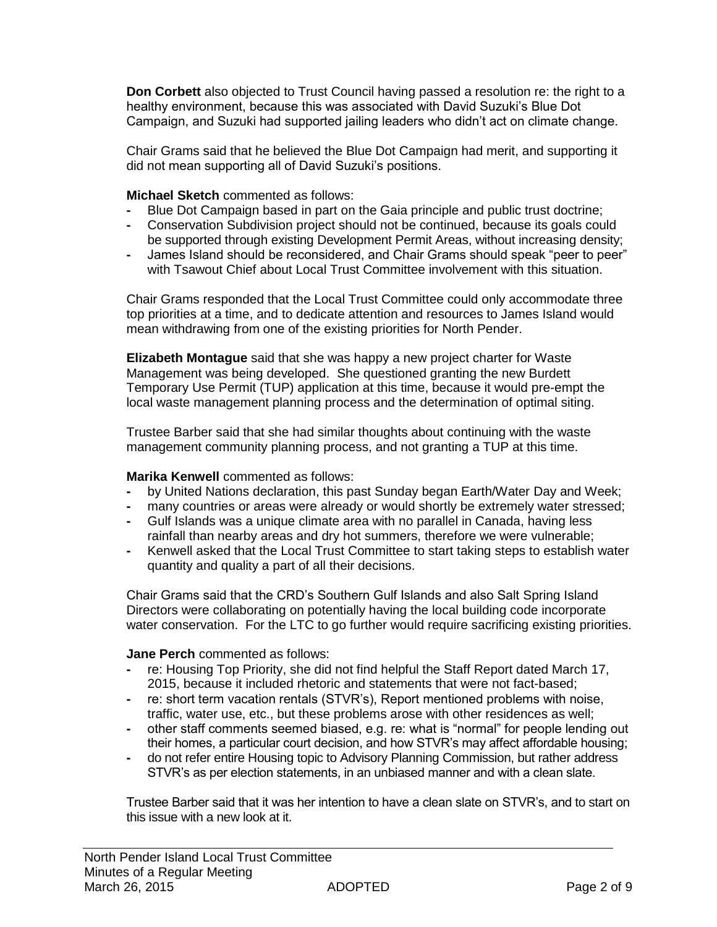**Don Corbett** also objected to Trust Council having passed a resolution re: the right to a healthy environment, because this was associated with David Suzuki's Blue Dot Campaign, and Suzuki had supported jailing leaders who didn't act on climate change.

Chair Grams said that he believed the Blue Dot Campaign had merit, and supporting it did not mean supporting all of David Suzuki's positions.

**Michael Sketch** commented as follows:

- **-** Blue Dot Campaign based in part on the Gaia principle and public trust doctrine;
- **-** Conservation Subdivision project should not be continued, because its goals could be supported through existing Development Permit Areas, without increasing density;
- **-** James Island should be reconsidered, and Chair Grams should speak "peer to peer" with Tsawout Chief about Local Trust Committee involvement with this situation.

Chair Grams responded that the Local Trust Committee could only accommodate three top priorities at a time, and to dedicate attention and resources to James Island would mean withdrawing from one of the existing priorities for North Pender.

**Elizabeth Montague** said that she was happy a new project charter for Waste Management was being developed. She questioned granting the new Burdett Temporary Use Permit (TUP) application at this time, because it would pre-empt the local waste management planning process and the determination of optimal siting.

Trustee Barber said that she had similar thoughts about continuing with the waste management community planning process, and not granting a TUP at this time.

#### **Marika Kenwell** commented as follows:

- **-** by United Nations declaration, this past Sunday began Earth/Water Day and Week;
- **-** many countries or areas were already or would shortly be extremely water stressed;
- **-** Gulf Islands was a unique climate area with no parallel in Canada, having less rainfall than nearby areas and dry hot summers, therefore we were vulnerable;
- **-** Kenwell asked that the Local Trust Committee to start taking steps to establish water quantity and quality a part of all their decisions.

Chair Grams said that the CRD's Southern Gulf Islands and also Salt Spring Island Directors were collaborating on potentially having the local building code incorporate water conservation. For the LTC to go further would require sacrificing existing priorities.

#### **Jane Perch** commented as follows:

- **-** re: Housing Top Priority, she did not find helpful the Staff Report dated March 17, 2015, because it included rhetoric and statements that were not fact-based;
- **-** re: short term vacation rentals (STVR's), Report mentioned problems with noise, traffic, water use, etc., but these problems arose with other residences as well;
- **-** other staff comments seemed biased, e.g. re: what is "normal" for people lending out their homes, a particular court decision, and how STVR's may affect affordable housing;
- **-** do not refer entire Housing topic to Advisory Planning Commission, but rather address STVR's as per election statements, in an unbiased manner and with a clean slate.

Trustee Barber said that it was her intention to have a clean slate on STVR's, and to start on this issue with a new look at it.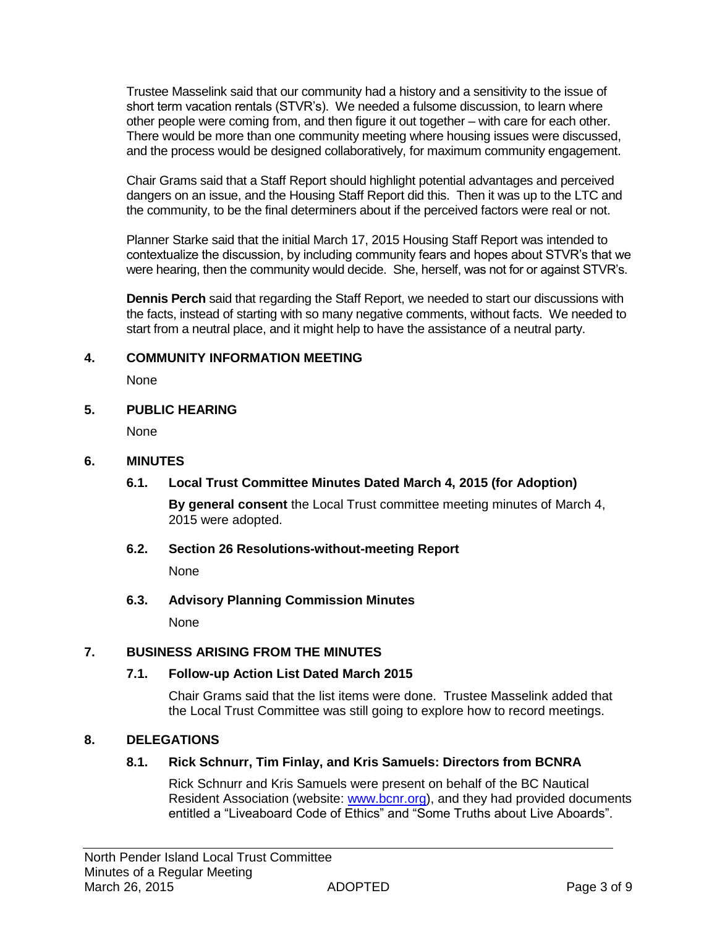Trustee Masselink said that our community had a history and a sensitivity to the issue of short term vacation rentals (STVR's). We needed a fulsome discussion, to learn where other people were coming from, and then figure it out together – with care for each other. There would be more than one community meeting where housing issues were discussed, and the process would be designed collaboratively, for maximum community engagement.

Chair Grams said that a Staff Report should highlight potential advantages and perceived dangers on an issue, and the Housing Staff Report did this. Then it was up to the LTC and the community, to be the final determiners about if the perceived factors were real or not.

Planner Starke said that the initial March 17, 2015 Housing Staff Report was intended to contextualize the discussion, by including community fears and hopes about STVR's that we were hearing, then the community would decide. She, herself, was not for or against STVR's.

**Dennis Perch** said that regarding the Staff Report, we needed to start our discussions with the facts, instead of starting with so many negative comments, without facts. We needed to start from a neutral place, and it might help to have the assistance of a neutral party.

#### **4. COMMUNITY INFORMATION MEETING**

None

#### **5. PUBLIC HEARING**

None

#### **6. MINUTES**

# **6.1. Local Trust Committee Minutes Dated March 4, 2015 (for Adoption)**

**By general consent** the Local Trust committee meeting minutes of March 4, 2015 were adopted.

#### **6.2. Section 26 Resolutions-without-meeting Report**

None

# **6.3. Advisory Planning Commission Minutes**

None

# **7. BUSINESS ARISING FROM THE MINUTES**

# **7.1. Follow-up Action List Dated March 2015**

Chair Grams said that the list items were done. Trustee Masselink added that the Local Trust Committee was still going to explore how to record meetings.

# **8. DELEGATIONS**

# **8.1. Rick Schnurr, Tim Finlay, and Kris Samuels: Directors from BCNRA**

Rick Schnurr and Kris Samuels were present on behalf of the BC Nautical Resident Association (website: [www.bcnr.org\)](http://www.bcnr.org/), and they had provided documents entitled a "Liveaboard Code of Ethics" and "Some Truths about Live Aboards".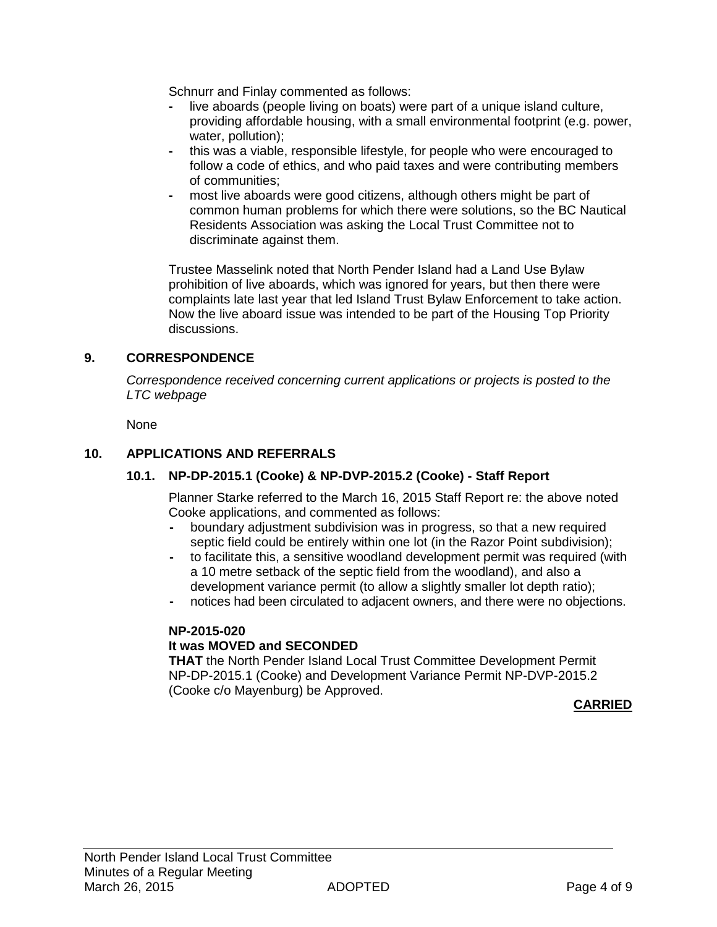Schnurr and Finlay commented as follows:

- **-** live aboards (people living on boats) were part of a unique island culture, providing affordable housing, with a small environmental footprint (e.g. power, water, pollution);
- **-** this was a viable, responsible lifestyle, for people who were encouraged to follow a code of ethics, and who paid taxes and were contributing members of communities;
- **-** most live aboards were good citizens, although others might be part of common human problems for which there were solutions, so the BC Nautical Residents Association was asking the Local Trust Committee not to discriminate against them.

Trustee Masselink noted that North Pender Island had a Land Use Bylaw prohibition of live aboards, which was ignored for years, but then there were complaints late last year that led Island Trust Bylaw Enforcement to take action. Now the live aboard issue was intended to be part of the Housing Top Priority discussions.

# **9. CORRESPONDENCE**

*Correspondence received concerning current applications or projects is posted to the LTC webpage*

None

#### **10. APPLICATIONS AND REFERRALS**

# **10.1. NP-DP-2015.1 (Cooke) & NP-DVP-2015.2 (Cooke) - Staff Report**

Planner Starke referred to the March 16, 2015 Staff Report re: the above noted Cooke applications, and commented as follows:

- **-** boundary adjustment subdivision was in progress, so that a new required septic field could be entirely within one lot (in the Razor Point subdivision);
- **-** to facilitate this, a sensitive woodland development permit was required (with a 10 metre setback of the septic field from the woodland), and also a development variance permit (to allow a slightly smaller lot depth ratio);
- **-** notices had been circulated to adjacent owners, and there were no objections.

#### **NP-2015-020**

#### **It was MOVED and SECONDED**

**THAT** the North Pender Island Local Trust Committee Development Permit NP-DP-2015.1 (Cooke) and Development Variance Permit NP-DVP-2015.2 (Cooke c/o Mayenburg) be Approved.

**CARRIED**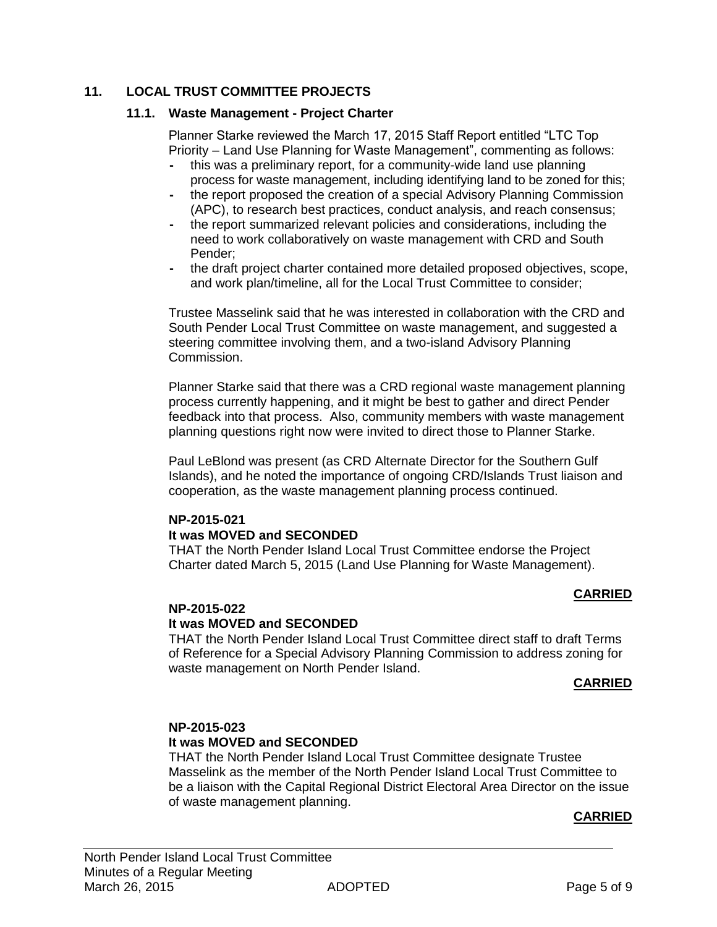#### **11. LOCAL TRUST COMMITTEE PROJECTS**

#### **11.1. Waste Management - Project Charter**

Planner Starke reviewed the March 17, 2015 Staff Report entitled "LTC Top Priority – Land Use Planning for Waste Management", commenting as follows:

- **-** this was a preliminary report, for a community-wide land use planning process for waste management, including identifying land to be zoned for this;
- **-** the report proposed the creation of a special Advisory Planning Commission (APC), to research best practices, conduct analysis, and reach consensus;
- **-** the report summarized relevant policies and considerations, including the need to work collaboratively on waste management with CRD and South Pender;
- **-** the draft project charter contained more detailed proposed objectives, scope, and work plan/timeline, all for the Local Trust Committee to consider;

Trustee Masselink said that he was interested in collaboration with the CRD and South Pender Local Trust Committee on waste management, and suggested a steering committee involving them, and a two-island Advisory Planning Commission.

Planner Starke said that there was a CRD regional waste management planning process currently happening, and it might be best to gather and direct Pender feedback into that process. Also, community members with waste management planning questions right now were invited to direct those to Planner Starke.

Paul LeBlond was present (as CRD Alternate Director for the Southern Gulf Islands), and he noted the importance of ongoing CRD/Islands Trust liaison and cooperation, as the waste management planning process continued.

# **NP-2015-021**

**It was MOVED and SECONDED**

THAT the North Pender Island Local Trust Committee endorse the Project Charter dated March 5, 2015 (Land Use Planning for Waste Management).

#### **CARRIED**

#### **NP-2015-022**

#### **It was MOVED and SECONDED**

THAT the North Pender Island Local Trust Committee direct staff to draft Terms of Reference for a Special Advisory Planning Commission to address zoning for waste management on North Pender Island.

#### **CARRIED**

#### **NP-2015-023**

#### **It was MOVED and SECONDED**

THAT the North Pender Island Local Trust Committee designate Trustee Masselink as the member of the North Pender Island Local Trust Committee to be a liaison with the Capital Regional District Electoral Area Director on the issue of waste management planning.

#### **CARRIED**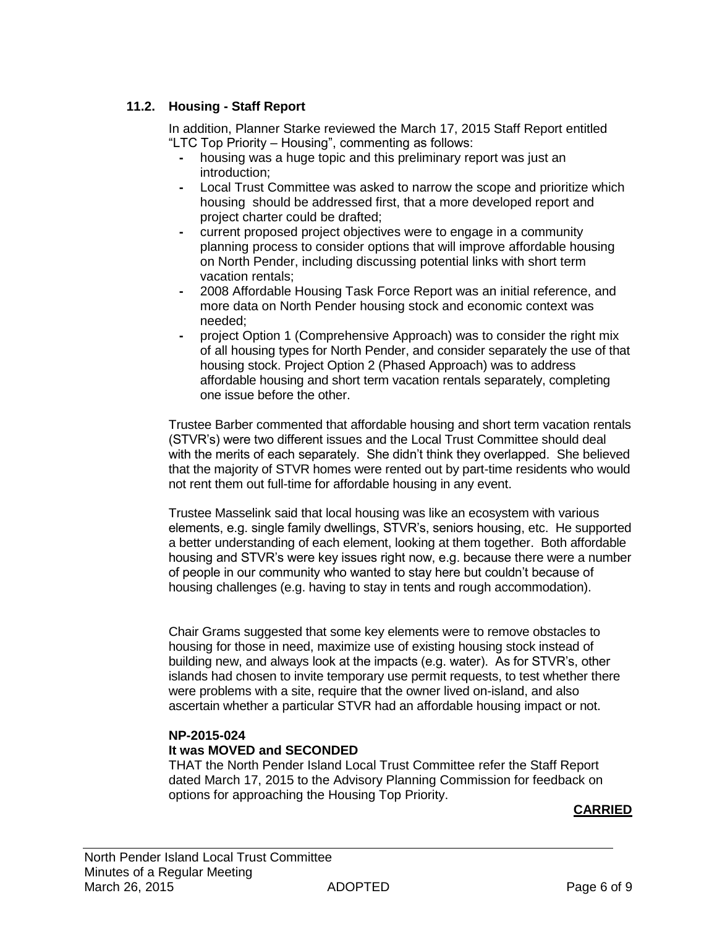# **11.2. Housing - Staff Report**

In addition, Planner Starke reviewed the March 17, 2015 Staff Report entitled "LTC Top Priority – Housing", commenting as follows:

- **-** housing was a huge topic and this preliminary report was just an introduction;
- **-** Local Trust Committee was asked to narrow the scope and prioritize which housing should be addressed first, that a more developed report and project charter could be drafted;
- **-** current proposed project objectives were to engage in a community planning process to consider options that will improve affordable housing on North Pender, including discussing potential links with short term vacation rentals;
- **-** 2008 Affordable Housing Task Force Report was an initial reference, and more data on North Pender housing stock and economic context was needed;
- **-** project Option 1 (Comprehensive Approach) was to consider the right mix of all housing types for North Pender, and consider separately the use of that housing stock. Project Option 2 (Phased Approach) was to address affordable housing and short term vacation rentals separately, completing one issue before the other.

Trustee Barber commented that affordable housing and short term vacation rentals (STVR's) were two different issues and the Local Trust Committee should deal with the merits of each separately. She didn't think they overlapped. She believed that the majority of STVR homes were rented out by part-time residents who would not rent them out full-time for affordable housing in any event.

Trustee Masselink said that local housing was like an ecosystem with various elements, e.g. single family dwellings, STVR's, seniors housing, etc. He supported a better understanding of each element, looking at them together. Both affordable housing and STVR's were key issues right now, e.g. because there were a number of people in our community who wanted to stay here but couldn't because of housing challenges (e.g. having to stay in tents and rough accommodation).

Chair Grams suggested that some key elements were to remove obstacles to housing for those in need, maximize use of existing housing stock instead of building new, and always look at the impacts (e.g. water). As for STVR's, other islands had chosen to invite temporary use permit requests, to test whether there were problems with a site, require that the owner lived on-island, and also ascertain whether a particular STVR had an affordable housing impact or not.

# **NP-2015-024**

# **It was MOVED and SECONDED**

THAT the North Pender Island Local Trust Committee refer the Staff Report dated March 17, 2015 to the Advisory Planning Commission for feedback on options for approaching the Housing Top Priority.

#### **CARRIED**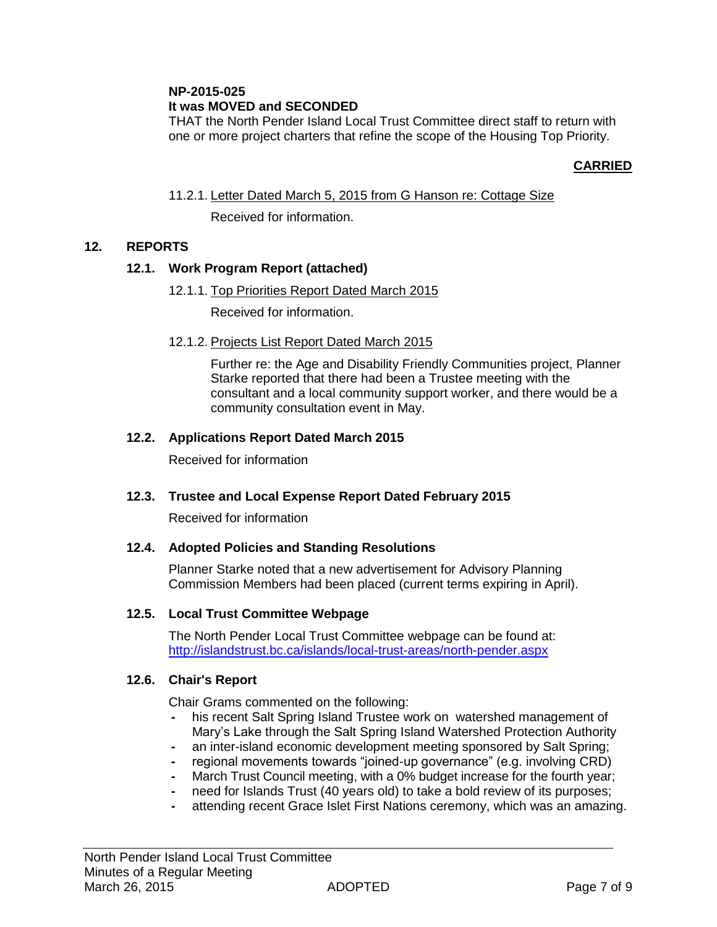# **NP-2015-025**

# **It was MOVED and SECONDED**

THAT the North Pender Island Local Trust Committee direct staff to return with one or more project charters that refine the scope of the Housing Top Priority.

# **CARRIED**

11.2.1. Letter Dated March 5, 2015 from G Hanson re: Cottage Size

Received for information.

# **12. REPORTS**

#### **12.1. Work Program Report (attached)**

12.1.1. Top Priorities Report Dated March 2015

Received for information.

12.1.2. Projects List Report Dated March 2015

Further re: the Age and Disability Friendly Communities project, Planner Starke reported that there had been a Trustee meeting with the consultant and a local community support worker, and there would be a community consultation event in May.

# **12.2. Applications Report Dated March 2015**

Received for information

# **12.3. Trustee and Local Expense Report Dated February 2015**

Received for information

# **12.4. Adopted Policies and Standing Resolutions**

Planner Starke noted that a new advertisement for Advisory Planning Commission Members had been placed (current terms expiring in April).

#### **12.5. Local Trust Committee Webpage**

The North Pender Local Trust Committee webpage can be found at: <http://islandstrust.bc.ca/islands/local-trust-areas/north-pender.aspx>

#### **12.6. Chair's Report**

Chair Grams commented on the following:

- **-** his recent Salt Spring Island Trustee work on watershed management of Mary's Lake through the Salt Spring Island Watershed Protection Authority
- **-** an inter-island economic development meeting sponsored by Salt Spring;
- **-** regional movements towards "joined-up governance" (e.g. involving CRD)
- **-** March Trust Council meeting, with a 0% budget increase for the fourth year;
- **-** need for Islands Trust (40 years old) to take a bold review of its purposes;
- **-** attending recent Grace Islet First Nations ceremony, which was an amazing.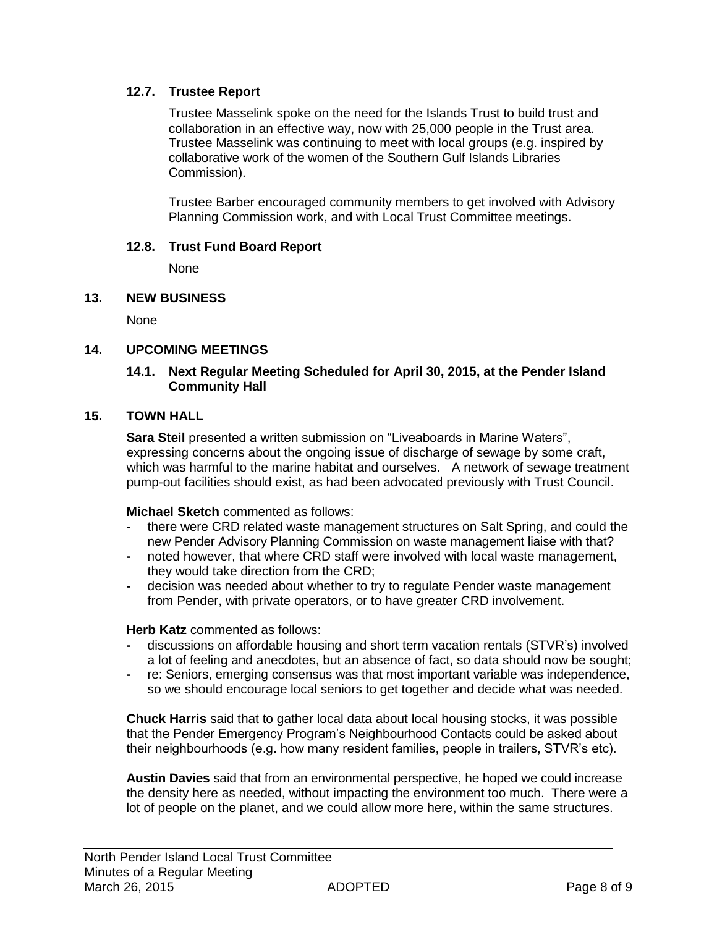### **12.7. Trustee Report**

Trustee Masselink spoke on the need for the Islands Trust to build trust and collaboration in an effective way, now with 25,000 people in the Trust area. Trustee Masselink was continuing to meet with local groups (e.g. inspired by collaborative work of the women of the Southern Gulf Islands Libraries Commission).

Trustee Barber encouraged community members to get involved with Advisory Planning Commission work, and with Local Trust Committee meetings.

#### **12.8. Trust Fund Board Report**

None

#### **13. NEW BUSINESS**

None

#### **14. UPCOMING MEETINGS**

#### **14.1. Next Regular Meeting Scheduled for April 30, 2015, at the Pender Island Community Hall**

#### **15. TOWN HALL**

**Sara Steil** presented a written submission on "Liveaboards in Marine Waters", expressing concerns about the ongoing issue of discharge of sewage by some craft, which was harmful to the marine habitat and ourselves. A network of sewage treatment pump-out facilities should exist, as had been advocated previously with Trust Council.

#### **Michael Sketch** commented as follows:

- **-** there were CRD related waste management structures on Salt Spring, and could the new Pender Advisory Planning Commission on waste management liaise with that?
- **-** noted however, that where CRD staff were involved with local waste management, they would take direction from the CRD;
- **-** decision was needed about whether to try to regulate Pender waste management from Pender, with private operators, or to have greater CRD involvement.

#### **Herb Katz** commented as follows:

- **-** discussions on affordable housing and short term vacation rentals (STVR's) involved a lot of feeling and anecdotes, but an absence of fact, so data should now be sought;
- **-** re: Seniors, emerging consensus was that most important variable was independence, so we should encourage local seniors to get together and decide what was needed.

**Chuck Harris** said that to gather local data about local housing stocks, it was possible that the Pender Emergency Program's Neighbourhood Contacts could be asked about their neighbourhoods (e.g. how many resident families, people in trailers, STVR's etc).

**Austin Davies** said that from an environmental perspective, he hoped we could increase the density here as needed, without impacting the environment too much. There were a lot of people on the planet, and we could allow more here, within the same structures.